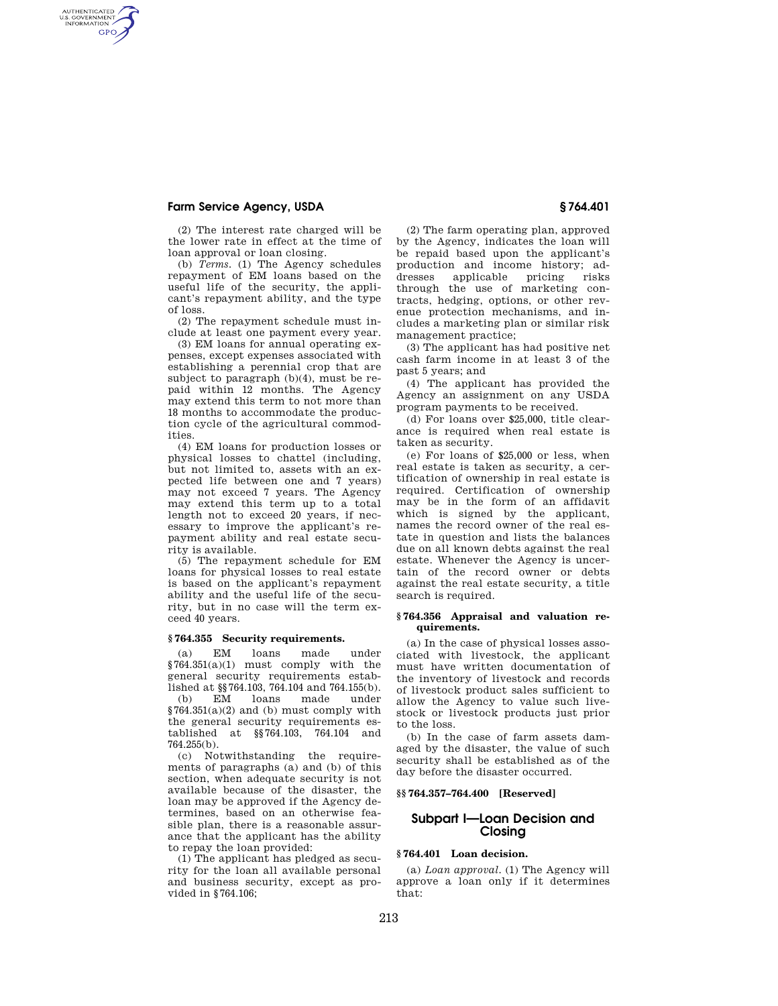# **Farm Service Agency, USDA § 764.401**

AUTHENTICATED<br>U.S. GOVERNMENT<br>INFORMATION **GPO** 

> (2) The interest rate charged will be the lower rate in effect at the time of loan approval or loan closing.

(b) *Terms.* (1) The Agency schedules repayment of EM loans based on the useful life of the security, the applicant's repayment ability, and the type of loss.

(2) The repayment schedule must include at least one payment every year.

(3) EM loans for annual operating expenses, except expenses associated with establishing a perennial crop that are subject to paragraph (b)(4), must be repaid within 12 months. The Agency may extend this term to not more than 18 months to accommodate the production cycle of the agricultural commodities.

(4) EM loans for production losses or physical losses to chattel (including, but not limited to, assets with an expected life between one and 7 years) may not exceed 7 years. The Agency may extend this term up to a total length not to exceed 20 years, if necessary to improve the applicant's repayment ability and real estate security is available.

(5) The repayment schedule for EM loans for physical losses to real estate is based on the applicant's repayment ability and the useful life of the security, but in no case will the term exceed 40 years.

### **§ 764.355 Security requirements.**

(a) EM loans made under  $§764.351(a)(1)$  must comply with the general security requirements established at §§764.103, 764.104 and 764.155(b).

(b) EM loans made under  $$764.351(a)(2)$  and (b) must comply with the general security requirements established at §§764.103, 764.104 and 764.255(b).

(c) Notwithstanding the requirements of paragraphs (a) and (b) of this section, when adequate security is not available because of the disaster, the loan may be approved if the Agency determines, based on an otherwise feasible plan, there is a reasonable assurance that the applicant has the ability to repay the loan provided:

(1) The applicant has pledged as security for the loan all available personal and business security, except as provided in §764.106;

(2) The farm operating plan, approved by the Agency, indicates the loan will be repaid based upon the applicant's production and income history; addresses applicable pricing through the use of marketing contracts, hedging, options, or other revenue protection mechanisms, and includes a marketing plan or similar risk management practice;

(3) The applicant has had positive net cash farm income in at least 3 of the past 5 years; and

(4) The applicant has provided the Agency an assignment on any USDA program payments to be received.

(d) For loans over \$25,000, title clearance is required when real estate is taken as security.

(e) For loans of \$25,000 or less, when real estate is taken as security, a certification of ownership in real estate is required. Certification of ownership may be in the form of an affidavit which is signed by the applicant. names the record owner of the real estate in question and lists the balances due on all known debts against the real estate. Whenever the Agency is uncertain of the record owner or debts against the real estate security, a title search is required.

# **§ 764.356 Appraisal and valuation requirements.**

(a) In the case of physical losses associated with livestock, the applicant must have written documentation of the inventory of livestock and records of livestock product sales sufficient to allow the Agency to value such livestock or livestock products just prior to the loss.

(b) In the case of farm assets damaged by the disaster, the value of such security shall be established as of the day before the disaster occurred.

# **§§ 764.357–764.400 [Reserved]**

# **Subpart I—Loan Decision and Closing**

### **§ 764.401 Loan decision.**

(a) *Loan approval.* (1) The Agency will approve a loan only if it determines that: